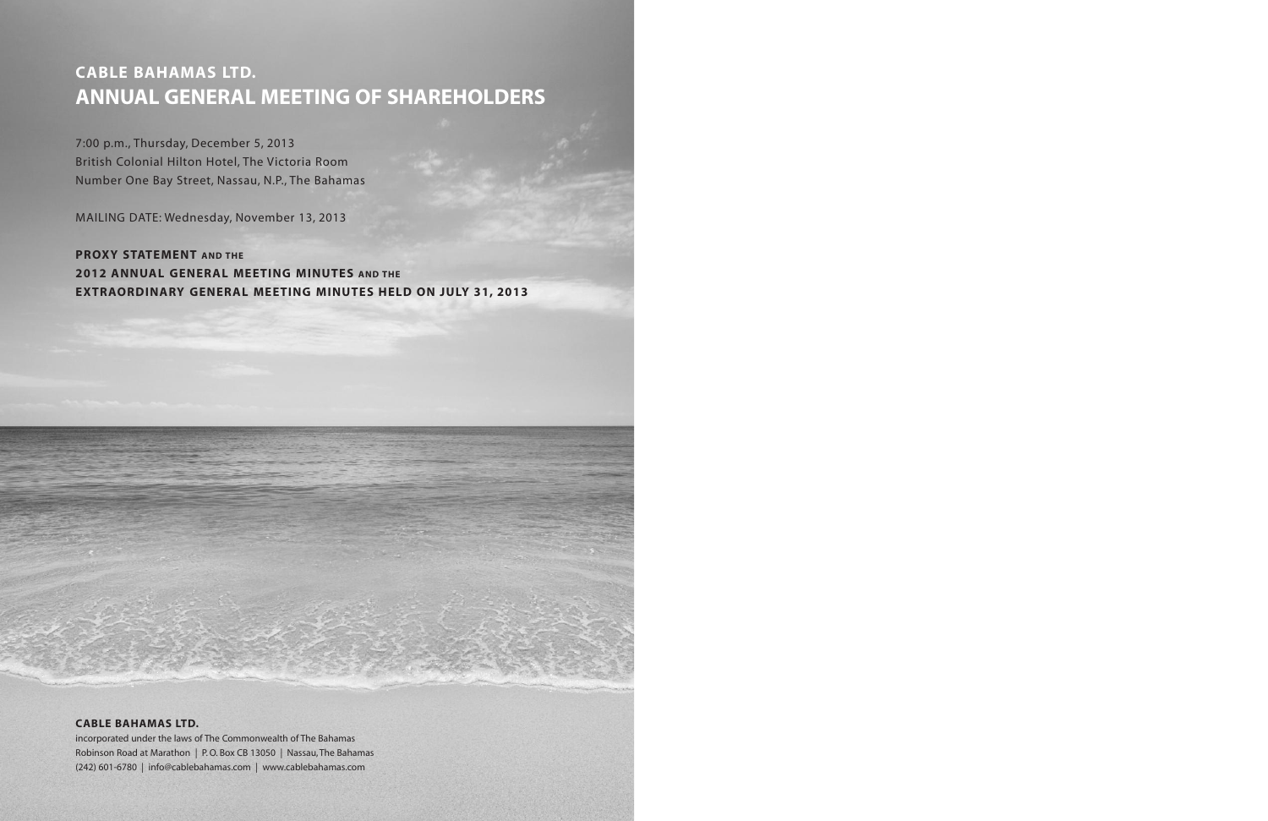# **CABLE BAHAMAS LTD. ANNUAL GENERAL MEETING OF SHAREHOLDERS**

7:00 p.m., Thursday, December 5, 2013 British Colonial Hilton Hotel, The Victoria Room Number One Bay Street, Nassau, N.P., The Bahamas

MAILING DATE: Wednesday, November 13, 2013

# **PROXY STATEMENT AND THE 2012 ANNUAL GENERAL MEETING MINUTES AND THE EXTRAORDINARY GENERAL MEETING MINUTES HELD ON JULY 31, 2013**

### **CABLE BAHAMAS LTD.**

incorporated under the laws of The Commonwealth of The Bahamas Robinson Road at Marathon | P.O. Box CB 13050 | Nassau,The Bahamas (242) 601-6780 | info@cablebahamas.com | www.cablebahamas.com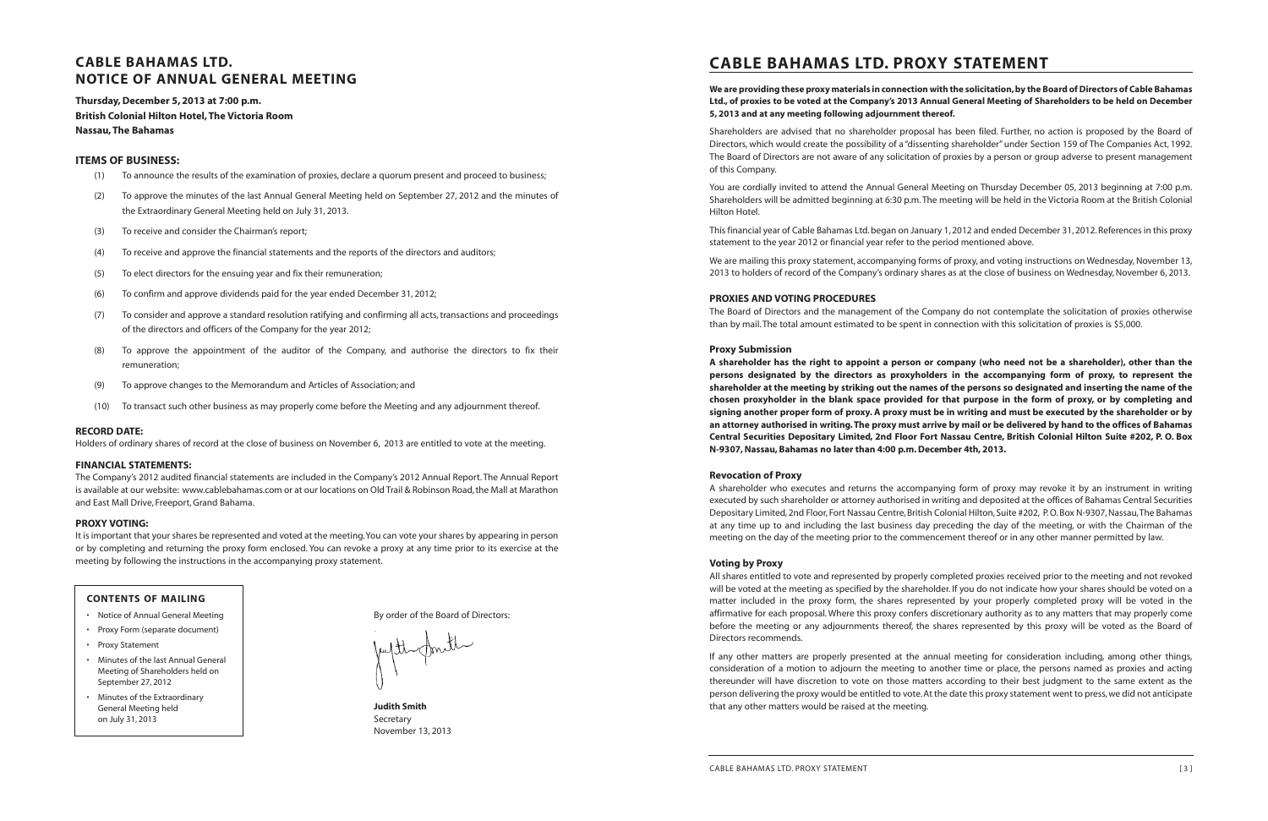# **CABLE BAHAMAS LTD. NOTICE OF ANNUAL GENERAL MEETING**

**Thursday,December 5, 2013 at 7:00 p.m. British Colonial Hilton Hotel,The Victoria Room Nassau,The Bahamas**

### **ITEMS OF BUSINESS:**

- (1) To announce the results of the examination of proxies, declare a quorum present and proceed to business;
- (2) To approve the minutes of the last Annual General Meeting held on September 27, 2012 and the minutes of the Extraordinary General Meeting held on July 31, 2013.
- (3) To receive and consider the Chairman's report;
- (4) To receive and approve the financial statements and the reports of the directors and auditors;
- (5) To elect directors for the ensuing year and fix their remuneration;
- (6) To confirm and approve dividends paid for the year ended December 31, 2012;
- (7) To consider and approve a standard resolution ratifying and confirming all acts,transactions and proceedings of the directors and officers of the Company for the year 2012;
- (8) To approve the appointment of the auditor of the Company, and authorise the directors to fix their remuneration;
- (9) To approve changes to the Memorandum and Articles of Association; and
- (10) To transact such other business as may properly come before the Meeting and any adjournment thereof.

### We are providing these proxy materials in connection with the solicitation, by the Board of Directors of Cable Bahamas Ltd., of proxies to be voted at the Company's 2013 Annual General Meeting of Shareholders to be held on December **5, 2013 and at any meeting following adjournment thereof.**

#### **RECORD DATE:**

Holders of ordinary shares of record at the close of business on November 6, 2013 are entitled to vote at the meeting.

#### **FINANCIAL STATEMENTS:**

The Company's 2012 audited financial statements are included in the Company's 2012 Annual Report.The Annual Report is available at our website: www.cablebahamas.com or at our locations on Old Trail & Robinson Road,the Mall at Marathon and East Mall Drive, Freeport, Grand Bahama.

#### **PROXY VOTING:**

It is important that your shares be represented and voted at the meeting.You can vote your shares by appearing in person or by completing and returning the proxy form enclosed. You can revoke a proxy at any time prior to its exercise at the meeting by following the instructions in the accompanying proxy statement.

By order of the Board of Directors:

**Judith Smith** Secretary November 13, 2013

# **CABLE BAHAMAS LTD. PROXY STATEMENT**

A shareholder has the right to appoint a person or company (who need not be a shareholder), other than the **persons designated by the directors as proxyholders in the accompanying form of proxy, to represent the** shareholder at the meeting by striking out the names of the persons so designated and inserting the name of the chosen proxyholder in the blank space provided for that purpose in the form of proxy, or by completing and signing another proper form of proxy. A proxy must be in writing and must be executed by the shareholder or by an attorney authorised in writing. The proxy must arrive by mail or be delivered by hand to the offices of Bahamas Central Securities Depositary Limited, 2nd Floor Fort Nassau Centre, British Colonial Hilton Suite #202, P. O. Box **N-9307,Nassau, Bahamas no later than 4:00 p.m.December 4th, 2013.**

Shareholders are advised that no shareholder proposal has been filed. Further, no action is proposed by the Board of Directors, which would create the possibility of a "dissenting shareholder" under Section 159 of The Companies Act, 1992. The Board of Directors are not aware of any solicitation of proxies by a person or group adverse to present management of this Company.

You are cordially invited to attend the Annual General Meeting on Thursday December 05, 2013 beginning at 7:00 p.m. Shareholders will be admitted beginning at 6:30 p.m.The meeting will be held in the Victoria Room at the British Colonial Hilton Hotel.

This financial year of Cable Bahamas Ltd.began on January 1, 2012 and ended December 31, 2012.References in this proxy statement to the year 2012 or financial year refer to the period mentioned above.

We are mailing this proxy statement, accompanying forms of proxy, and voting instructions on Wednesday, November 13, 2013 to holders of record of the Company's ordinary shares as at the close of business on Wednesday, November 6, 2013.

#### **PROXIES AND VOTING PROCEDURES**

The Board of Directors and the management of the Company do not contemplate the solicitation of proxies otherwise than by mail.The total amount estimated to be spent in connection with this solicitation of proxies is \$5,000.

#### **Proxy Submission**

#### **Revocation of Proxy**

A shareholder who executes and returns the accompanying form of proxy may revoke it by an instrument in writing executed by such shareholder or attorney authorised in writing and deposited at the offices of Bahamas Central Securities Depositary Limited, 2nd Floor, Fort Nassau Centre, British Colonial Hilton, Suite #202, P.O.Box N-9307, Nassau,The Bahamas at any time up to and including the last business day preceding the day of the meeting, or with the Chairman of the meeting on the day of the meeting prior to the commencement thereof or in any other manner permitted by law.

#### **Voting by Proxy**

All shares entitled to vote and represented by properly completed proxies received prior to the meeting and not revoked will be voted at the meeting as specified by the shareholder. If you do not indicate how your shares should be voted on a matter included in the proxy form, the shares represented by your properly completed proxy will be voted in the affirmative for each proposal. Where this proxy confers discretionary authority as to any matters that may properly come before the meeting or any adjournments thereof, the shares represented by this proxy will be voted as the Board of Directors recommends.

If any other matters are properly presented at the annual meeting for consideration including, among other things, consideration of a motion to adjourn the meeting to another time or place, the persons named as proxies and acting thereunder will have discretion to vote on those matters according to their best judgment to the same extent as the person delivering the proxy would be entitled to vote. At the date this proxy statement went to press, we did not anticipate that any other matters would be raised at the meeting.

#### **CONTENTS OF MAILING**

- Notice of Annual General Meeting
- Proxy Form (separate document)
- Proxy Statement
- Minutes of the last Annual General Meeting of Shareholders held on September 27, 2012
- Minutes of the Extraordinary General Meeting held on July 31, 2013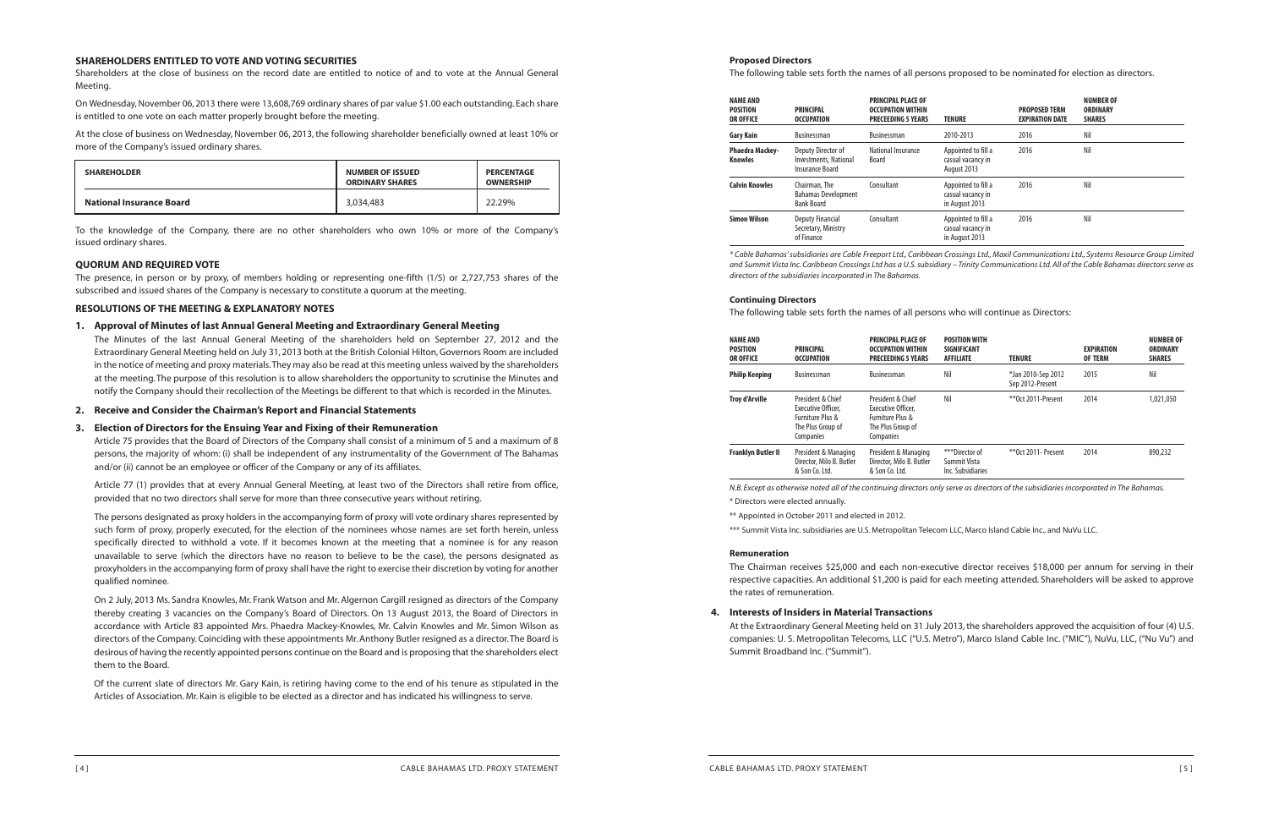#### **Proposed Directors**

#### The following table sets forth the names of all persons proposed to be nominated for election as directors.

| <b>NAME AND</b><br>POSITION<br>OR OFFICE | <b>PRINCIPAL</b><br><b>OCCUPATION</b>                                 | <b>PRINCIPAL PLACE OF</b><br><b>OCCUPATION WITHIN</b><br><b>PRECEEDING 5 YEARS</b> | <b>TENURE</b>                                              | <b>PROPOSED TERM</b><br><b>EXPIRATION DATE</b> | <b>NUMBER OF</b><br><b>ORDINARY</b><br><b>SHARES</b> |
|------------------------------------------|-----------------------------------------------------------------------|------------------------------------------------------------------------------------|------------------------------------------------------------|------------------------------------------------|------------------------------------------------------|
| Gary Kain                                | Businessman                                                           | <b>Businessman</b>                                                                 | 2010-2013                                                  | 2016                                           | Nil                                                  |
| Phaedra Mackey-<br>Knowles               | Deputy Director of<br>Investments, National<br><b>Insurance Board</b> | National Insurance<br><b>Board</b>                                                 | Appointed to fill a<br>casual vacancy in<br>August 2013    | 2016                                           | Nil                                                  |
| Calvin Knowles                           | Chairman, The<br><b>Bahamas Development</b><br><b>Bank Board</b>      | Consultant                                                                         | Appointed to fill a<br>casual vacancy in<br>in August 2013 | 2016                                           | Nil                                                  |
| Simon Wilson                             | <b>Deputy Financial</b><br>Secretary, Ministry<br>of Finance          | Consultant                                                                         | Appointed to fill a<br>casual vacancy in<br>in August 2013 | 2016                                           | Nil                                                  |

\* Cable Bahamas' subsidiaries are Cable Freeport Ltd., Caribbean Crossings Ltd., Maxil Communications Ltd., Systems Resource Group Limited and Summit Vista Inc. Caribbean Crossings Ltd has a U.S. subsidiary - Trinity Communications Ltd. All of the Cable Bahamas directors serve as *directors of the subsidiaries incorporated in The Bahamas.*

#### **Continuing Directors**

The following table sets forth the names of all persons who will continue as Directors:

At the Extraordinary General Meeting held on 31 July 2013, the shareholders approved the acquisition of four (4) U.S. companies: U. S. Metropolitan Telecoms, LLC ("U.S. Metro"), Marco Island Cable Inc. ("MIC"), NuVu, LLC, ("Nu Vu") and

| <b>NAME AND</b><br><b>POSITION</b><br><b>OR OFFICE</b> | <b>PRINCIPAL</b><br><b>OCCUPATION</b>                                                         | <b>PRINCIPAL PLACE OF</b><br><b>OCCUPATION WITHIN</b><br><b>PRECEEDING 5 YEARS</b>            | <b>POSITION WITH</b><br><b>SIGNIFICANT</b><br><b>AFFILIATE</b> | <b>TENURE</b>                          | <b>EXPIRATION</b><br><b>OF TERM</b> | <b>NUMBER OF</b><br><b>ORDINARY</b><br><b>SHARES</b> |
|--------------------------------------------------------|-----------------------------------------------------------------------------------------------|-----------------------------------------------------------------------------------------------|----------------------------------------------------------------|----------------------------------------|-------------------------------------|------------------------------------------------------|
| <b>Philip Keeping</b>                                  | <b>Businessman</b>                                                                            | <b>Businessman</b>                                                                            | Nil                                                            | *Jan 2010-Sep 2012<br>Sep 2012-Present | 2015                                | Nil                                                  |
| <b>Troy d'Arville</b>                                  | President & Chief<br>Executive Officer.<br>Furniture Plus &<br>The Plus Group of<br>Companies | President & Chief<br>Executive Officer,<br>Furniture Plus &<br>The Plus Group of<br>Companies | Nil                                                            | ** Oct 2011-Present                    | 2014                                | 1,021,050                                            |
| <b>Franklyn Butler II</b>                              | President & Managing<br>Director, Milo B. Butler<br>& Son Co. Ltd.                            | President & Managing<br>Director, Milo B. Butler<br>& Son Co. Ltd.                            | ***Director of<br>Summit Vista<br>Inc. Subsidiaries            | ** Oct 2011 - Present                  | 2014                                | 890,232                                              |

N.B. Except as otherwise noted all of the continuing directors only serve as directors of the subsidiaries incorporated in The Bahamas.

On Wednesday, November 06, 2013 there were 13,608,769 ordinary shares of par value \$1.00 each outstanding. Each share is entitled to one vote on each matter properly brought before the meeting.

\* Directors were elected annually.

\*\* Appointed in October 2011 and elected in 2012.

\*\*\* Summit Vista Inc.subsidiaries are U.S. Metropolitan Telecom LLC, Marco Island Cable Inc., and NuVu LLC.

#### **Remuneration**

The Chairman receives \$25,000 and each non-executive director receives \$18,000 per annum for serving in their respective capacities. An additional \$1,200 is paid for each meeting attended. Shareholders will be asked to approve the rates of remuneration.

**4. Interests of Insiders in Material Transactions** Summit Broadband Inc. ("Summit").

#### **SHAREHOLDERS ENTITLED TO VOTE AND VOTING SECURITIES**

Shareholders at the close of business on the record date are entitled to notice of and to vote at the Annual General Meeting.

At the close of business on Wednesday, November 06, 2013, the following shareholder beneficially owned at least 10% or more of the Company's issued ordinary shares.

| <b>SHAREHOLDER</b>              | <b>NUMBER OF ISSUED</b><br><b>ORDINARY SHARES</b> | <b>PERCENTAGE</b><br><b>OWNERSHIP</b> |
|---------------------------------|---------------------------------------------------|---------------------------------------|
| <b>National Insurance Board</b> | 3,034,483                                         | 22.29%                                |

To the knowledge of the Company, there are no other shareholders who own 10% or more of the Company's issued ordinary shares.

#### **QUORUM AND REQUIRED VOTE**

The presence, in person or by proxy, of members holding or representing one-fifth (1/5) or 2,727,753 shares of the subscribed and issued shares of the Company is necessary to constitute a quorum at the meeting.

#### **RESOLUTIONS OF THE MEETING & EXPLANATORY NOTES**

#### **1. Approval of Minutes of last Annual General Meeting and Extraordinary General Meeting**

The Minutes of the last Annual General Meeting of the shareholders held on September 27, 2012 and the Extraordinary General Meeting held on July 31, 2013 both at the British Colonial Hilton,Governors Room are included in the notice of meeting and proxy materials.They may also be read at this meeting unless waived by the shareholders at the meeting.The purpose of this resolution is to allow shareholders the opportunity to scrutinise the Minutes and notify the Company should their recollection of the Meetings be different to that which is recorded in the Minutes.

**2. Receive and Consider the Chairman's Report and Financial Statements**

#### **3. Election of Directors for the Ensuing Year and Fixing of their Remuneration**

Article 75 provides that the Board of Directors of the Company shall consist of a minimum of 5 and a maximum of 8 persons, the majority of whom: (i) shall be independent of any instrumentality of the Government of The Bahamas and/or (ii) cannot be an employee or officer of the Company or any of its affiliates.

Article 77 (1) provides that at every Annual General Meeting, at least two of the Directors shall retire from office, provided that no two directors shall serve for more than three consecutive years without retiring.

The persons designated as proxy holders in the accompanying form of proxy will vote ordinary shares represented by such form of proxy, properly executed, for the election of the nominees whose names are set forth herein, unless specifically directed to withhold a vote. If it becomes known at the meeting that a nominee is for any reason unavailable to serve (which the directors have no reason to believe to be the case), the persons designated as proxyholders in the accompanying form of proxy shall have the right to exercise their discretion by voting for another qualified nominee.

On 2 July, 2013 Ms. Sandra Knowles, Mr. Frank Watson and Mr. Algernon Cargill resigned as directors of the Company thereby creating 3 vacancies on the Company's Board of Directors. On 13 August 2013, the Board of Directors in accordance with Article 83 appointed Mrs. Phaedra Mackey-Knowles, Mr. Calvin Knowles and Mr. Simon Wilson as directors of the Company.Coinciding with these appointments Mr.Anthony Butler resigned as a director.The Board is desirous of having the recently appointed persons continue on the Board and is proposing that the shareholders elect them to the Board.

Of the current slate of directors Mr. Gary Kain, is retiring having come to the end of his tenure as stipulated in the Articles of Association. Mr. Kain is eligible to be elected as a director and has indicated his willingness to serve.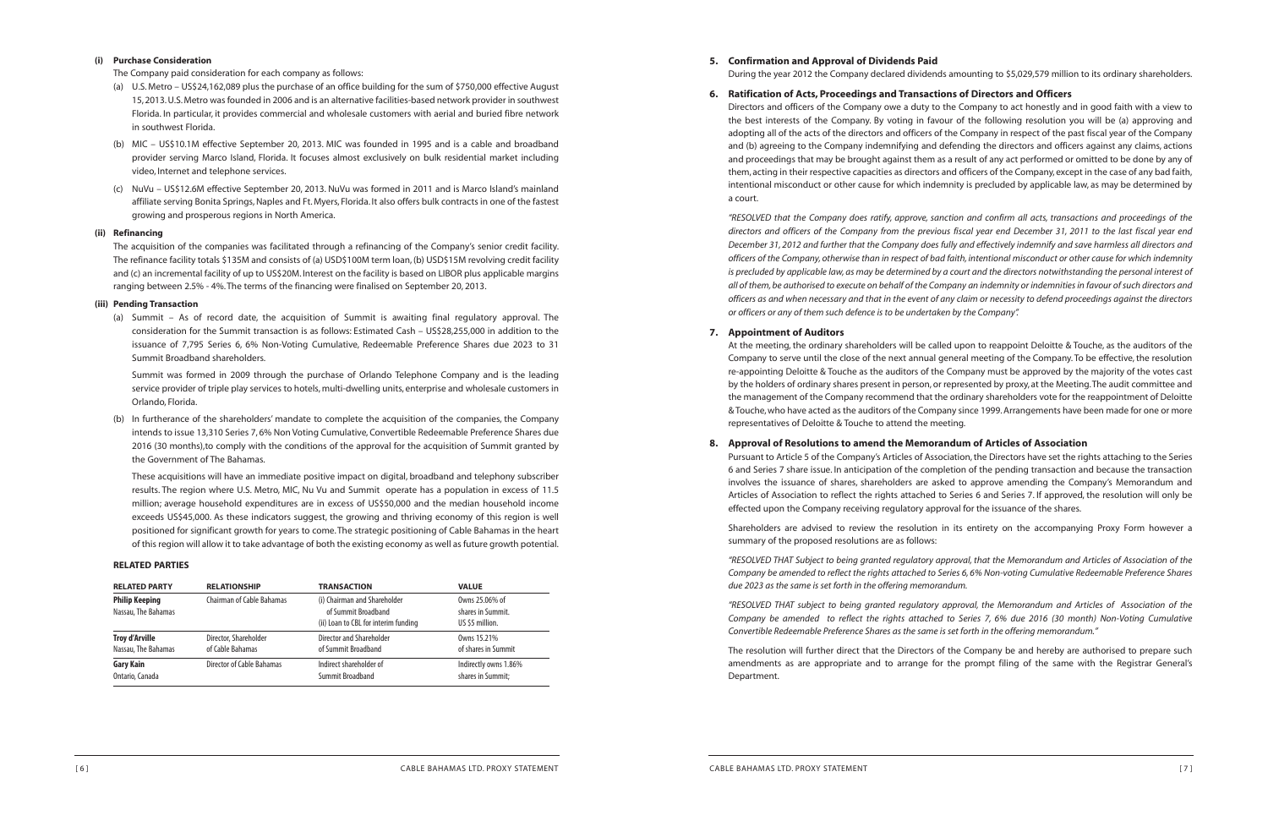During the year 2012 the Company declared dividends amounting to \$5,029,579 million to its ordinary shareholders.

- **5. Confirmation and Approval of Dividends Paid**
- **6. Ratification of Acts, Proceedings and Transactions of Directors and Officers** a court.

Directors and officers of the Company owe a duty to the Company to act honestly and in good faith with a view to the best interests of the Company. By voting in favour of the following resolution you will be (a) approving and adopting all of the acts of the directors and officers of the Company in respect of the past fiscal year of the Company and (b) agreeing to the Company indemnifying and defending the directors and officers against any claims, actions and proceedings that may be brought against them as a result of any act performed or omitted to be done by any of them, acting in their respective capacities as directors and officers of the Company, except in the case of any bad faith, intentional misconduct or other cause for which indemnity is precluded by applicable law, as may be determined by

"RESOLVED that the Company does ratify, approve, sanction and confirm all acts, transactions and proceedings of the directors and officers of the Company from the previous fiscal year end December 31, 2011 to the last fiscal year end December 31, 2012 and further that the Company does fully and effectively indemnify and save harmless all directors and officers of the Company, otherwise than in respect of bad faith, intentional misconduct or other cause for which indemnity is precluded by applicable law, as may be determined by a court and the directors notwithstanding the personal interest of all of them, be authorised to execute on behalf of the Company an indemnity or indemnities in favour of such directors and officers as and when necessary and that in the event of any claim or necessity to defend proceedings against the directors *or officers or any of them such defence is to be undertaken by the Company".*

Pursuant to Article 5 of the Company's Articles of Association, the Directors have set the rights attaching to the Series 6 and Series 7 share issue. In anticipation of the completion of the pending transaction and because the transaction involves the issuance of shares, shareholders are asked to approve amending the Company's Memorandum and Articles of Association to reflect the rights attached to Series 6 and Series 7. If approved, the resolution will only be effected upon the Company receiving regulatory approval for the issuance of the shares.

"RESOLVED THAT Subject to being granted regulatory approval, that the Memorandum and Articles of Association of the Company be amended to reflect the rights attached to Series 6,6% Non-voting Cumulative Redeemable Preference Shares *due 2023 as the same is set forth in the offering memorandum.*

### **7. Appointment of Auditors**

At the meeting, the ordinary shareholders will be called upon to reappoint Deloitte & Touche, as the auditors of the Company to serve until the close of the next annual general meeting of the Company. To be effective, the resolution re-appointing Deloitte & Touche as the auditors of the Company must be approved by the majority of the votes cast by the holders of ordinary shares present in person,or represented by proxy, at the Meeting.The audit committee and the management of the Company recommend that the ordinary shareholders vote for the reappointment of Deloitte & Touche,who have acted as the auditors of the Company since 1999.Arrangements have been made for one or more representatives of Deloitte & Touche to attend the meeting.

## **8. Approval of Resolutions to amend the Memorandum of Articles of Association**

Shareholders are advised to review the resolution in its entirety on the accompanying Proxy Form however a summary of the proposed resolutions are as follows:

*"RESOLVED THAT subject to being granted regulatory approval, the Memorandum and Articles of Association of the* Company be amended to reflect the rights attached to Series 7, 6% due 2016 (30 month) Non-Voting Cumulative *Convertible Redeemable Preference Shares as the same is set forth in the offering memorandum."*

The resolution will further direct that the Directors of the Company be and hereby are authorised to prepare such amendments as are appropriate and to arrange for the prompt filing of the same with the Registrar General's Department.

#### **(i) Purchase Consideration**

The Company paid consideration for each company as follows:

- (a) U.S. Metro US\$24,162,089 plus the purchase of an office building for the sum of \$750,000 effective August 15,2013.U.S.Metro wasfounded in 2006 and is an alternative facilities-based network provider in southwest Florida. In particular, it provides commercial and wholesale customers with aerial and buried fibre network in southwest Florida.
- (b) MIC US\$10.1M effective September 20, 2013. MIC was founded in 1995 and is a cable and broadband provider serving Marco Island, Florida. It focuses almost exclusively on bulk residential market including video, Internet and telephone services.
- (c) NuVu US\$12.6M effective September 20, 2013. NuVu was formed in 2011 and is Marco Island's mainland affiliate serving Bonita Springs,Naples and Ft. Myers, Florida. It also offers bulk contracts in one of the fastest growing and prosperous regions in North America.

#### **(ii) Refinancing**

The acquisition of the companies was facilitated through a refinancing of the Company's senior credit facility. The refinance facility totals \$135M and consists of (a) USD\$100M term loan, (b) USD\$15M revolving credit facility and (c) an incremental facility of up to US\$20M. Interest on the facility is based on LIBOR plus applicable margins ranging between 2.5% - 4%.The terms of the financing were finalised on September 20, 2013.

#### **(iii) Pending Transaction**

(a) Summit – As of record date, the acquisition of Summit is awaiting final regulatory approval. The consideration for the Summit transaction is as follows: Estimated Cash – US\$28,255,000 in addition to the issuance of 7,795 Series 6, 6% Non-Voting Cumulative, Redeemable Preference Shares due 2023 to 31 Summit Broadband shareholders.

Summit was formed in 2009 through the purchase of Orlando Telephone Company and is the leading service provider of triple play services to hotels, multi-dwelling units, enterprise and wholesale customers in Orlando, Florida.

(b) In furtherance of the shareholders' mandate to complete the acquisition of the companies, the Company intends to issue 13,310 Series 7, 6% Non Voting Cumulative, Convertible Redeemable Preference Shares due 2016 (30 months),to comply with the conditions of the approval for the acquisition of Summit granted by the Government of The Bahamas.

These acquisitions will have an immediate positive impact on digital, broadband and telephony subscriber results. The region where U.S. Metro, MIC, Nu Vu and Summit operate has a population in excess of 11.5 million; average household expenditures are in excess of US\$50,000 and the median household income exceeds US\$45,000. As these indicators suggest, the growing and thriving economy of this region is well positioned for significant growth for years to come.The strategic positioning of Cable Bahamas in the heart of thisregion will allow it to take advantage of both the existing economy as well asfuture growth potential.

#### **RELATED PARTIES**

| <b>RELATED PARTY</b>                         | <b>RELATIONSHIP</b>              | <b>TRANSACTION</b>                                                                          | <b>VALUE</b>                                           |
|----------------------------------------------|----------------------------------|---------------------------------------------------------------------------------------------|--------------------------------------------------------|
| <b>Philip Keeping</b><br>Nassau, The Bahamas | <b>Chairman of Cable Bahamas</b> | (i) Chairman and Shareholder<br>of Summit Broadband<br>(ii) Loan to CBL for interim funding | Owns 25,06% of<br>shares in Summit.<br>US \$5 million. |
| <b>Troy d'Arville</b>                        | Director, Shareholder            | Director and Shareholder                                                                    | Owns 15.21%                                            |
| Nassau, The Bahamas                          | of Cable Bahamas                 | of Summit Broadband                                                                         | of shares in Summit                                    |
| <b>Gary Kain</b>                             | Director of Cable Bahamas        | Indirect shareholder of                                                                     | Indirectly owns 1.86%                                  |
| Ontario, Canada                              |                                  | Summit Broadband                                                                            | shares in Summit;                                      |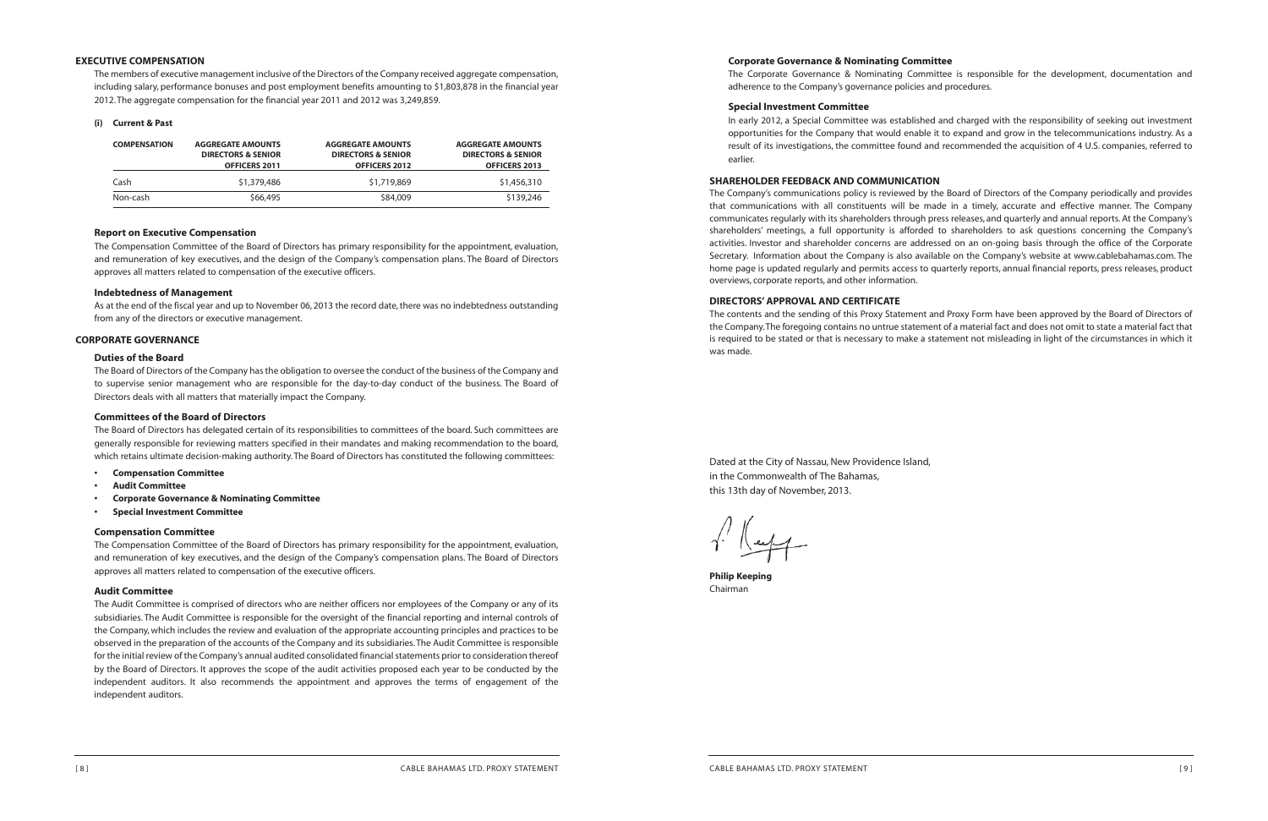#### **Corporate Governance & Nominating Committee**

The Corporate Governance & Nominating Committee is responsible for the development, documentation and adherence to the Company's governance policies and procedures.

#### **Special Investment Committee**

In early 2012, a Special Committee was established and charged with the responsibility of seeking out investment opportunities for the Company that would enable it to expand and grow in the telecommunications industry. As a result of its investigations, the committee found and recommended the acquisition of 4 U.S. companies, referred to earlier.

#### **SHAREHOLDER FEEDBACK AND COMMUNICATION**

Dated at the City of Nassau, New Providence Island, in the Commonwealth of The Bahamas, this 13th day of November, 2013.

 $\gamma'$  ( expertise)

The Company's communications policy is reviewed by the Board of Directors of the Company periodically and provides that communications with all constituents will be made in a timely, accurate and effective manner. The Company communicates regularly with its shareholders through press releases, and quarterly and annual reports. At the Company's shareholders' meetings, a full opportunity is afforded to shareholders to ask questions concerning the Company's activities. Investor and shareholder concerns are addressed on an on-going basis through the office of the Corporate Secretary. Information about the Company is also available on the Company's website at www.cablebahamas.com. The home page is updated regularly and permits access to quarterly reports, annual financial reports, press releases, product overviews, corporate reports, and other information.

#### **DIRECTORS'APPROVAL AND CERTIFICATE**

As at the end of the fiscal year and up to November 06, 2013 the record date, there was no indebtedness outstanding from any of the directors or executive management.

The contents and the sending of this Proxy Statement and Proxy Form have been approved by the Board of Directors of the Company.The foregoing contains no untrue statement of a material fact and does not omit to state a material fact that is required to be stated or that is necessary to make a statement not misleading in light of the circumstances in which it was made.

**Philip Keeping** Chairman

#### **EXECUTIVE COMPENSATION**

The members of executive management inclusive of the Directors of the Company received aggregate compensation, including salary, performance bonuses and post employment benefits amounting to \$1,803,878 in the financial year 2012.The aggregate compensation for the financial year 2011 and 2012 was 3,249,859.

#### **(i) Current & Past**

| <b>COMPENSATION</b> | <b>AGGREGATE AMOUNTS</b><br><b>DIRECTORS &amp; SENIOR</b><br>OFFICERS 2011 | <b>AGGREGATE AMOUNTS</b><br><b>DIRECTORS &amp; SENIOR</b><br><b>OFFICERS 2012</b> | <b>AGGREGATE AMOUNTS</b><br><b>DIRECTORS &amp; SENIOR</b><br><b>OFFICERS 2013</b> |
|---------------------|----------------------------------------------------------------------------|-----------------------------------------------------------------------------------|-----------------------------------------------------------------------------------|
| Cash                | \$1,379,486                                                                | \$1,719,869                                                                       | \$1,456,310                                                                       |
| Non-cash            | \$66,495                                                                   | \$84,009                                                                          | \$139,246                                                                         |

#### **Report on Executive Compensation**

The Compensation Committee of the Board of Directors has primary responsibility for the appointment, evaluation, and remuneration of key executives, and the design of the Company's compensation plans. The Board of Directors approves all matters related to compensation of the executive officers.

#### **Indebtedness of Management**

#### **CORPORATE GOVERNANCE**

#### **Duties of the Board**

The Board of Directors of the Company hasthe obligation to oversee the conduct of the business of the Company and to supervise senior management who are responsible for the day-to-day conduct of the business. The Board of Directors deals with all matters that materially impact the Company.

#### **Committees of the Board of Directors**

The Board of Directors has delegated certain of its responsibilities to committees of the board. Such committees are generally responsible for reviewing matters specified in their mandates and making recommendation to the board, which retains ultimate decision-making authority.The Board of Directors has constituted the following committees:

- **• Compensation Committee**
- **• Audit Committee**
- **• Corporate Governance & Nominating Committee**
- **• Special Investment Committee**

#### **Compensation Committee**

The Compensation Committee of the Board of Directors has primary responsibility for the appointment, evaluation, and remuneration of key executives, and the design of the Company's compensation plans. The Board of Directors approves all matters related to compensation of the executive officers.

#### **Audit Committee**

The Audit Committee is comprised of directors who are neither officers nor employees of the Company or any of its subsidiaries. The Audit Committee is responsible for the oversight of the financial reporting and internal controls of the Company, which includes the review and evaluation of the appropriate accounting principles and practices to be observed in the preparation of the accounts of the Company and its subsidiaries.The Audit Committee is responsible for the initial review of the Company's annual audited consolidated financial statements prior to consideration thereof by the Board of Directors. It approves the scope of the audit activities proposed each year to be conducted by the independent auditors. It also recommends the appointment and approves the terms of engagement of the independent auditors.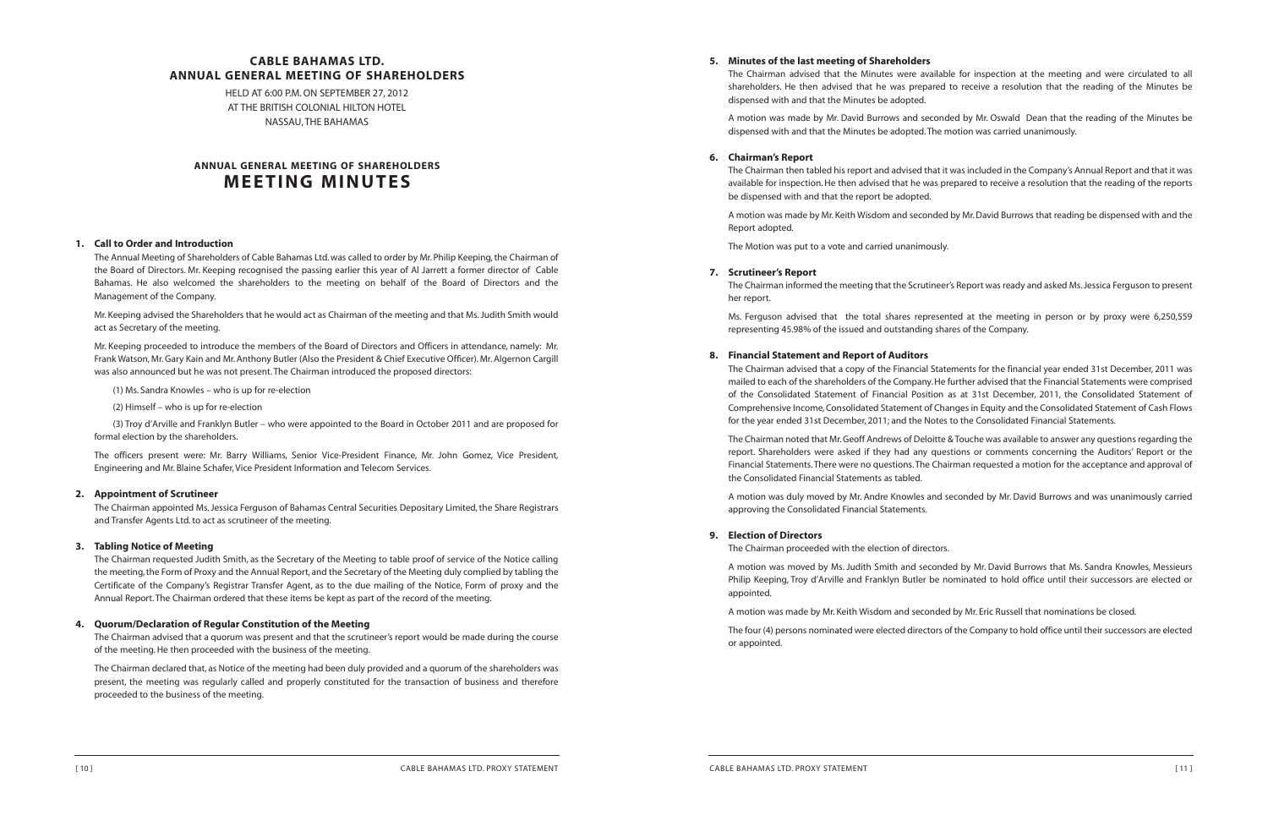The Chairman advised that the Minutes were available for inspection at the meeting and were circulated to all shareholders. He then advised that he was prepared to receive a resolution that the reading of the Minutes be

# **5. Minutes of the last meeting of Shareholders** dispensed with and that the Minutes be adopted.

A motion was made by Mr. David Burrows and seconded by Mr. Oswald Dean that the reading of the Minutes be dispensed with and that the Minutes be adopted.The motion was carried unanimously.

#### **6. Chairman's Report**

The Chairman then tabled his report and advised that it was included in the Company's Annual Report and that it was available for inspection. He then advised that he was prepared to receive a resolution that the reading of the reports be dispensed with and that the report be adopted.

A motion was made by Mr.Keith Wisdom and seconded by Mr.David Burrows that reading be dispensed with and the Report adopted.

The Motion was put to a vote and carried unanimously.

#### **7. Scrutineer's Report**

The Chairman informed the meeting that the Scrutineer's Report wasready and asked Ms.Jessica Ferguson to present her report.

The Chairman noted that Mr. Geoff Andrews of Deloitte & Touche was available to answer any questions regarding the report. Shareholders were asked if they had any questions or comments concerning the Auditors' Report or the Financial Statements.There were no questions.The Chairman requested a motion for the acceptance and approval of the Consolidated Financial Statements as tabled.

Ms. Ferguson advised that the total shares represented at the meeting in person or by proxy were 6,250,559 representing 45.98% of the issued and outstanding shares of the Company.

#### **8. Financial Statement and Report of Auditors**

The four (4) persons nominated were elected directors of the Company to hold office until their successors are elected or appointed.

The Chairman advised that a copy of the Financial Statements for the financial year ended 31st December, 2011 was mailed to each of the shareholders of the Company.He further advised that the Financial Statements were comprised of the Consolidated Statement of Financial Position as at 31st December, 2011, the Consolidated Statement of Comprehensive Income,Consolidated Statement of Changes in Equity and the Consolidated Statement of Cash Flows for the year ended 31st December, 2011; and the Notes to the Consolidated Financial Statements.

A motion was duly moved by Mr. Andre Knowles and seconded by Mr. David Burrows and was unanimously carried approving the Consolidated Financial Statements.

#### **9. Election of Directors**

The Chairman proceeded with the election of directors.

The Chairman advised that a quorum was present and that the scrutineer's report would be made during the course of the meeting. He then proceeded with the business of the meeting.

A motion was moved by Ms. Judith Smith and seconded by Mr. David Burrows that Ms. Sandra Knowles, Messieurs Philip Keeping, Troy d'Arville and Franklyn Butler be nominated to hold office until their successors are elected or appointed.

A motion was made by Mr. Keith Wisdom and seconded by Mr. Eric Russell that nominations be closed.

### **CABLE BAHAMAS LTD. ANNUAL GENERAL MEETING OF SHAREHOLDERS**

HELD AT 6:00 P.M.ON SEPTEMBER 27, 2012 AT THE BRITISH COLONIAL HILTON HOTEL NASSAU,THE BAHAMAS

## **ANNUAL GENERAL MEETING OF SHAREHOLDERS MEETING MINUTES**

### **1. Call to Order and Introduction**

The Annual Meeting of Shareholders of Cable Bahamas Ltd.was called to order by Mr. Philip Keeping,the Chairman of the Board of Directors. Mr. Keeping recognised the passing earlier this year of Al Jarrett a former director of Cable Bahamas. He also welcomed the shareholders to the meeting on behalf of the Board of Directors and the Management of the Company.

Mr. Keeping advised the Shareholders that he would act as Chairman of the meeting and that Ms.Judith Smith would act as Secretary of the meeting.

Mr. Keeping proceeded to introduce the members of the Board of Directors and Officers in attendance, namely: Mr. Frank Watson, Mr.Gary Kain and Mr.Anthony Butler (Also the President & Chief Executive Officer). Mr.Algernon Cargill was also announced but he was not present.The Chairman introduced the proposed directors:

(1) Ms. Sandra Knowles – who is up for re-election

(2) Himself – who is up for re-election

(3) Troy d'Arville and Franklyn Butler – who were appointed to the Board in October 2011 and are proposed for formal election by the shareholders.

The officers present were: Mr. Barry Williams, Senior Vice-President Finance, Mr. John Gomez, Vice President, Engineering and Mr. Blaine Schafer,Vice President Information and Telecom Services.

### **2. Appointment of Scrutineer**

The Chairman appointed Ms. Jessica Ferguson of Bahamas Central Securities Depositary Limited, the Share Registrars and Transfer Agents Ltd. to act as scrutineer of the meeting.

#### **3. Tabling Notice of Meeting**

The Chairman requested Judith Smith, as the Secretary of the Meeting to table proof of service of the Notice calling the meeting,the Form of Proxy and the Annual Report, and the Secretary of the Meeting duly complied by tabling the Certificate of the Company's Registrar Transfer Agent, as to the due mailing of the Notice, Form of proxy and the Annual Report.The Chairman ordered that these items be kept as part of the record of the meeting.

#### **4. Quorum/Declaration of Regular Constitution of the Meeting**

The Chairman declared that, as Notice of the meeting had been duly provided and a quorum of the shareholders was present, the meeting was regularly called and properly constituted for the transaction of business and therefore proceeded to the business of the meeting.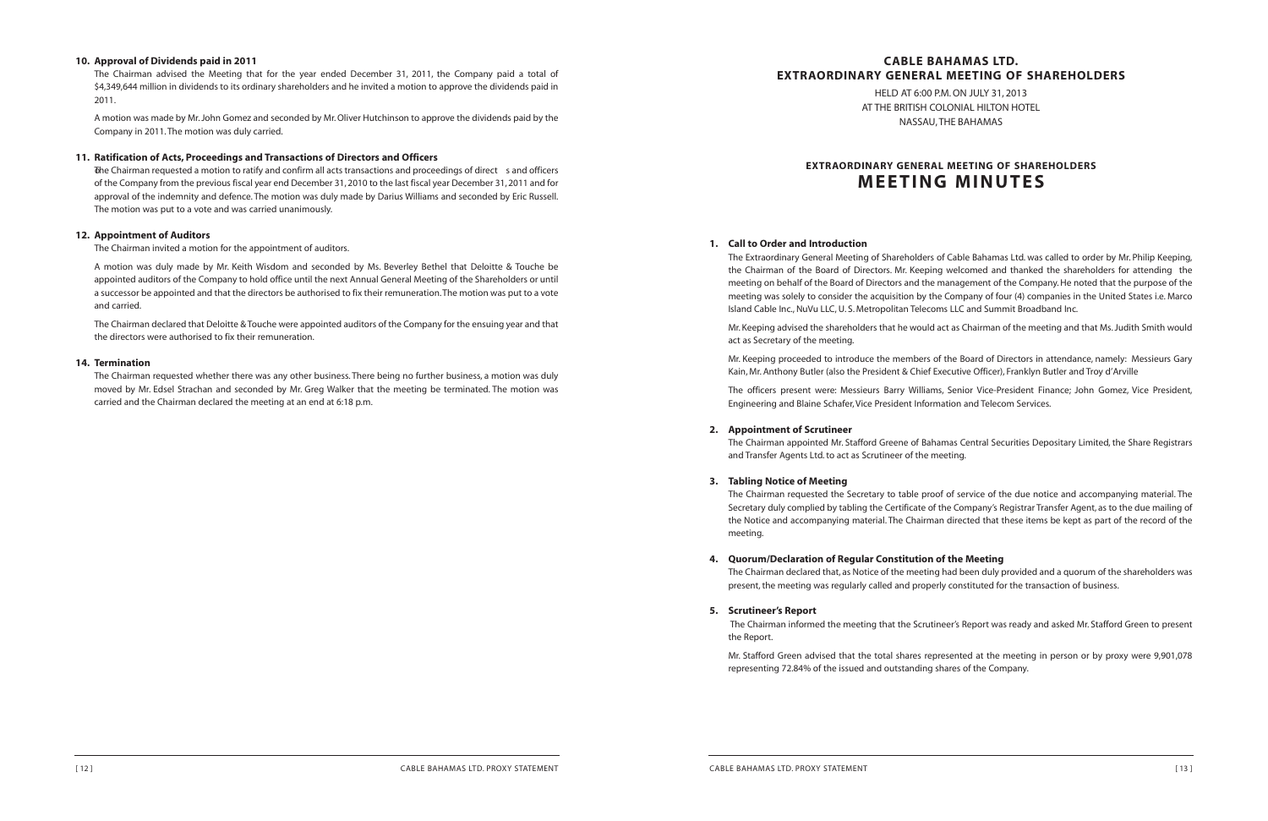## **CABLE BAHAMAS LTD. EXTRAORDINARY GENERAL MEETING OF SHAREHOLDERS**

HELD AT 6:00 P.M.ON JULY 31, 2013 AT THE BRITISH COLONIAL HILTON HOTEL NASSAU,THE BAHAMAS

The Extraordinary General Meeting of Shareholders of Cable Bahamas Ltd. was called to order by Mr. Philip Keeping, the Chairman of the Board of Directors. Mr. Keeping welcomed and thanked the shareholders for attending the meeting on behalf of the Board of Directors and the management of the Company.He noted that the purpose of the meeting was solely to consider the acquisition by the Company of four (4) companies in the United States i.e. Marco Island Cable Inc., NuVu LLC, U.S. Metropolitan Telecoms LLC and Summit Broadband Inc.

# **EXTRAORDINARY GENERAL MEETING OF SHAREHOLDERS MEETING MINUTES**

#### **1. Call to Order and Introduction**

The Chairman appointed Mr. Stafford Greene of Bahamas Central Securities Depositary Limited, the Share Registrars and Transfer Agents Ltd. to act as Scrutineer of the meeting.

Mr. Keeping advised the shareholders that he would act as Chairman of the meeting and that Ms.Judith Smith would act as Secretary of the meeting.

The Chairman declared that, as Notice of the meeting had been duly provided and a quorum of the shareholders was present, the meeting was regularly called and properly constituted for the transaction of business.

Mr. Keeping proceeded to introduce the members of the Board of Directors in attendance, namely: Messieurs Gary Kain, Mr. Anthony Butler (also the President & Chief Executive Officer), Franklyn Butler and Troy d'Arville

The officers present were: Messieurs Barry Williams, Senior Vice-President Finance; John Gomez, Vice President, Engineering and Blaine Schafer,Vice President Information and Telecom Services.

#### **2. Appointment of Scrutineer**

#### **3. Tabling Notice of Meeting**

The Chairman requested the Secretary to table proof of service of the due notice and accompanying material. The Secretary duly complied by tabling the Certificate of the Company's Registrar Transfer Agent, as to the due mailing of the Notice and accompanying material. The Chairman directed that these items be kept as part of the record of the meeting.

### **4. Quorum/Declaration of Regular Constitution of the Meeting**

#### **5. Scrutineer's Report**

The Chairman informed the meeting that the Scrutineer's Report was ready and asked Mr. Stafford Green to present the Report.

Mr. Stafford Green advised that the total shares represented at the meeting in person or by proxy were 9,901,078 representing 72.84% of the issued and outstanding shares of the Company.

#### **10. Approval of Dividends paid in 2011**

The Chairman advised the Meeting that for the year ended December 31, 2011, the Company paid a total of \$4,349,644 million in dividends to its ordinary shareholders and he invited a motion to approve the dividends paid in 2011.

A motion was made by Mr.John Gomez and seconded by Mr.Oliver Hutchinson to approve the dividends paid by the Company in 2011.The motion was duly carried.

#### **11. Ratification of Acts, Proceedings and Transactions of Directors and Officers**

Tohe Chairman requested a motion to ratify and confirm all acts transactions and proceedings of direct s and officers of the Company from the previous fiscal year end December 31, 2010 to the last fiscal year December 31, 2011 and for approval of the indemnity and defence. The motion was duly made by Darius Williams and seconded by Eric Russell. The motion was put to a vote and was carried unanimously.

#### **12. Appointment of Auditors**

The Chairman invited a motion for the appointment of auditors.

A motion was duly made by Mr. Keith Wisdom and seconded by Ms. Beverley Bethel that Deloitte & Touche be appointed auditors of the Company to hold office until the next Annual General Meeting of the Shareholders or until a successor be appointed and that the directors be authorised to fix their remuneration.The motion was put to a vote and carried.

The Chairman declared that Deloitte & Touche were appointed auditors of the Company for the ensuing year and that the directors were authorised to fix their remuneration.

#### **14. Termination**

The Chairman requested whether there was any other business. There being no further business, a motion was duly moved by Mr. Edsel Strachan and seconded by Mr. Greg Walker that the meeting be terminated. The motion was carried and the Chairman declared the meeting at an end at 6:18 p.m.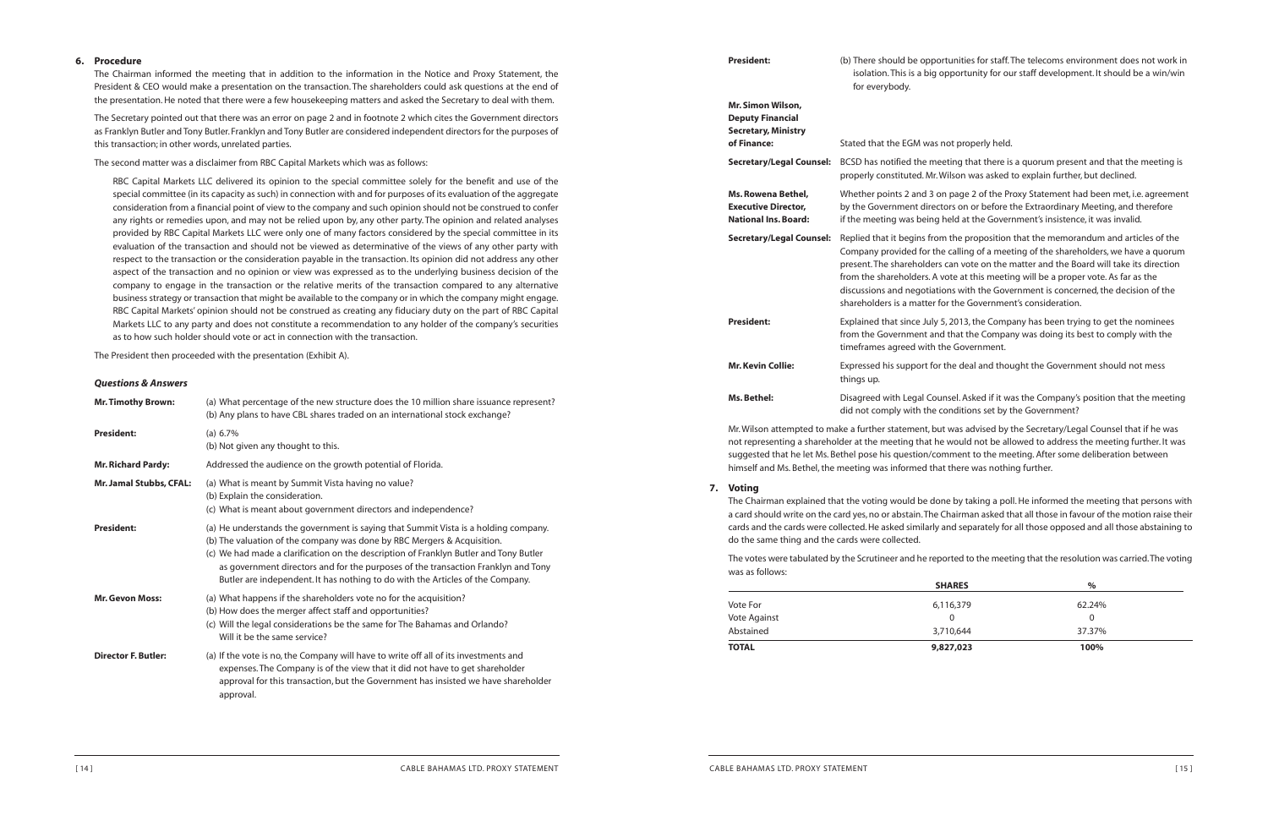**Secretary/Legal Counsel:** Replied that it begins from the proposition that the memorandum and articles of the he calling of a meeting of the shareholders, we have a quorum s can vote on the matter and the Board will take its direction vote at this meeting will be a proper vote. As far as the tions with the Government is concerned, the decision of the for the Government's consideration.

**5, 2013, the Company has been trying to get the nominees** Ind that the Company was doing its best to comply with the the Government.

**K** the deal and thought the Government should not mess

unsel. Asked if it was the Company's position that the meeting conditions set by the Government?

ut was advised by the Secretary/Legal Counsel that if he was ne would not be allowed to address the meeting further. It was suggested that he let Ms. Bethel pose his question/comment to the meeting. After some deliberation between himself and Ms. Bethel, the meeting was informed that there was nothing further.

| <b>President:</b>                                                                                                                                                     | (b) There should be oppo<br>isolation. This is a big<br>for everybody.                                                                                                   |
|-----------------------------------------------------------------------------------------------------------------------------------------------------------------------|--------------------------------------------------------------------------------------------------------------------------------------------------------------------------|
| Mr. Simon Wilson,<br><b>Deputy Financial</b><br><b>Secretary, Ministry</b><br>of Finance:                                                                             | Stated that the EGM was                                                                                                                                                  |
| <b>Secretary/Legal Counsel:</b>                                                                                                                                       | BCSD has notified the me<br>properly constituted. Mr.                                                                                                                    |
| Ms. Rowena Bethel,<br><b>Executive Director,</b><br><b>National Ins. Board:</b>                                                                                       | Whether points 2 and 3 o<br>by the Government direc<br>if the meeting was being                                                                                          |
| <b>Secretary/Legal Counsel:</b>                                                                                                                                       | Replied that it begins fro<br>Company provided for th<br>present. The shareholder:<br>from the shareholders. A<br>discussions and negotiat<br>shareholders is a matter f |
| <b>President:</b>                                                                                                                                                     | Explained that since July<br>from the Government an<br>timeframes agreed with t                                                                                          |
| <b>Mr. Kevin Collie:</b>                                                                                                                                              | Expressed his support for<br>things up.                                                                                                                                  |
| Ms. Bethel:                                                                                                                                                           | Disagreed with Legal Cou<br>did not comply with the                                                                                                                      |
| Mr. Wilson attempted to make a further statement, but<br>not representing a shareholder at the meeting that h<br>supposted that he let Ms Rethel nose his question/co |                                                                                                                                                                          |

#### **7. Voting**

The Chairman explained that the voting would be done by taking a poll.He informed the meeting that persons with a card should write on the card yes, no or abstain. The Chairman asked that all those in favour of the motion raise their cards and the cards were collected.He asked similarly and separately for all those opposed and all those abstaining to do the same thing and the cards were collected.

The votes were tabulated by the Scrutineer and he reported to the meeting that the resolution was carried.The voting was as follows:

|              | <b>SHARES</b> | $\%$   |  |
|--------------|---------------|--------|--|
| Vote For     | 6,116,379     | 62.24% |  |
| Vote Against | 0             | 0      |  |
| Abstained    | 3,710,644     | 37.37% |  |
| <b>TOTAL</b> | 9,827,023     | 100%   |  |

#### **6. Procedure**

The Chairman informed the meeting that in addition to the information in the Notice and Proxy Statement, the President & CEO would make a presentation on the transaction. The shareholders could ask questions at the end of the presentation.He noted that there were a few housekeeping matters and asked the Secretary to deal with them.

The Secretary pointed out that there was an error on page 2 and in footnote 2 which cites the Government directors as Franklyn Butler and Tony Butler. Franklyn and Tony Butler are considered independent directors for the purposes of this transaction; in other words, unrelated parties.

The second matter was a disclaimer from RBC Capital Markets which was as follows:

RBC Capital Markets LLC delivered its opinion to the special committee solely for the benefit and use of the special committee (in its capacity as such) in connection with and for purposes of its evaluation of the aggregate consideration from a financial point of view to the company and such opinion should not be construed to confer any rights or remedies upon, and may not be relied upon by, any other party. The opinion and related analyses provided by RBC Capital Markets LLC were only one of many factors considered by the special committee in its evaluation of the transaction and should not be viewed as determinative of the views of any other party with respect to the transaction or the consideration payable in the transaction. Its opinion did not address any other aspect of the transaction and no opinion or view was expressed as to the underlying business decision of the company to engage in the transaction or the relative merits of the transaction compared to any alternative business strategy or transaction that might be available to the company or in which the company might engage. RBC Capital Markets' opinion should not be construed as creating any fiduciary duty on the part of RBC Capital Markets LLC to any party and does not constitute a recommendation to any holder of the company's securities as to how such holder should vote or act in connection with the transaction.

The President then proceeded with the presentation (Exhibit A).

#### *Questions & Answers*

| <b>Mr. Timothy Brown:</b>  | (a) What percentage of the new structure does the 10 million share issuance represent?<br>(b) Any plans to have CBL shares traded on an international stock exchange?                                                                                                                                                                                                                                                          |
|----------------------------|--------------------------------------------------------------------------------------------------------------------------------------------------------------------------------------------------------------------------------------------------------------------------------------------------------------------------------------------------------------------------------------------------------------------------------|
| <b>President:</b>          | (a) $6.7\%$<br>(b) Not given any thought to this.                                                                                                                                                                                                                                                                                                                                                                              |
| <b>Mr. Richard Pardy:</b>  | Addressed the audience on the growth potential of Florida.                                                                                                                                                                                                                                                                                                                                                                     |
| Mr. Jamal Stubbs, CFAL:    | (a) What is meant by Summit Vista having no value?<br>(b) Explain the consideration.<br>(c) What is meant about government directors and independence?                                                                                                                                                                                                                                                                         |
| <b>President:</b>          | (a) He understands the government is saying that Summit Vista is a holding company.<br>(b) The valuation of the company was done by RBC Mergers & Acquisition.<br>(c) We had made a clarification on the description of Franklyn Butler and Tony Butler<br>as government directors and for the purposes of the transaction Franklyn and Tony<br>Butler are independent. It has nothing to do with the Articles of the Company. |
| <b>Mr. Gevon Moss:</b>     | (a) What happens if the shareholders vote no for the acquisition?<br>(b) How does the merger affect staff and opportunities?<br>(c) Will the legal considerations be the same for The Bahamas and Orlando?<br>Will it be the same service?                                                                                                                                                                                     |
| <b>Director F. Butler:</b> | (a) If the vote is no, the Company will have to write off all of its investments and<br>expenses. The Company is of the view that it did not have to get shareholder<br>approval for this transaction, but the Government has insisted we have shareholder<br>approval.                                                                                                                                                        |

**President:** (b) There should be opportunities for staff.The telecoms environment does not work in opportunity for our staff development. It should be a win/win

**not** properly held.

eeting that there is a quorum present and that the meeting is Wilson was asked to explain further, but declined.

on page 2 of the Proxy Statement had been met, i.e. agreement **Executive Extraordinary Meeting, and therefore** the Extraordinary Meeting, and therefore **I** held at the Government's insistence, it was invalid.